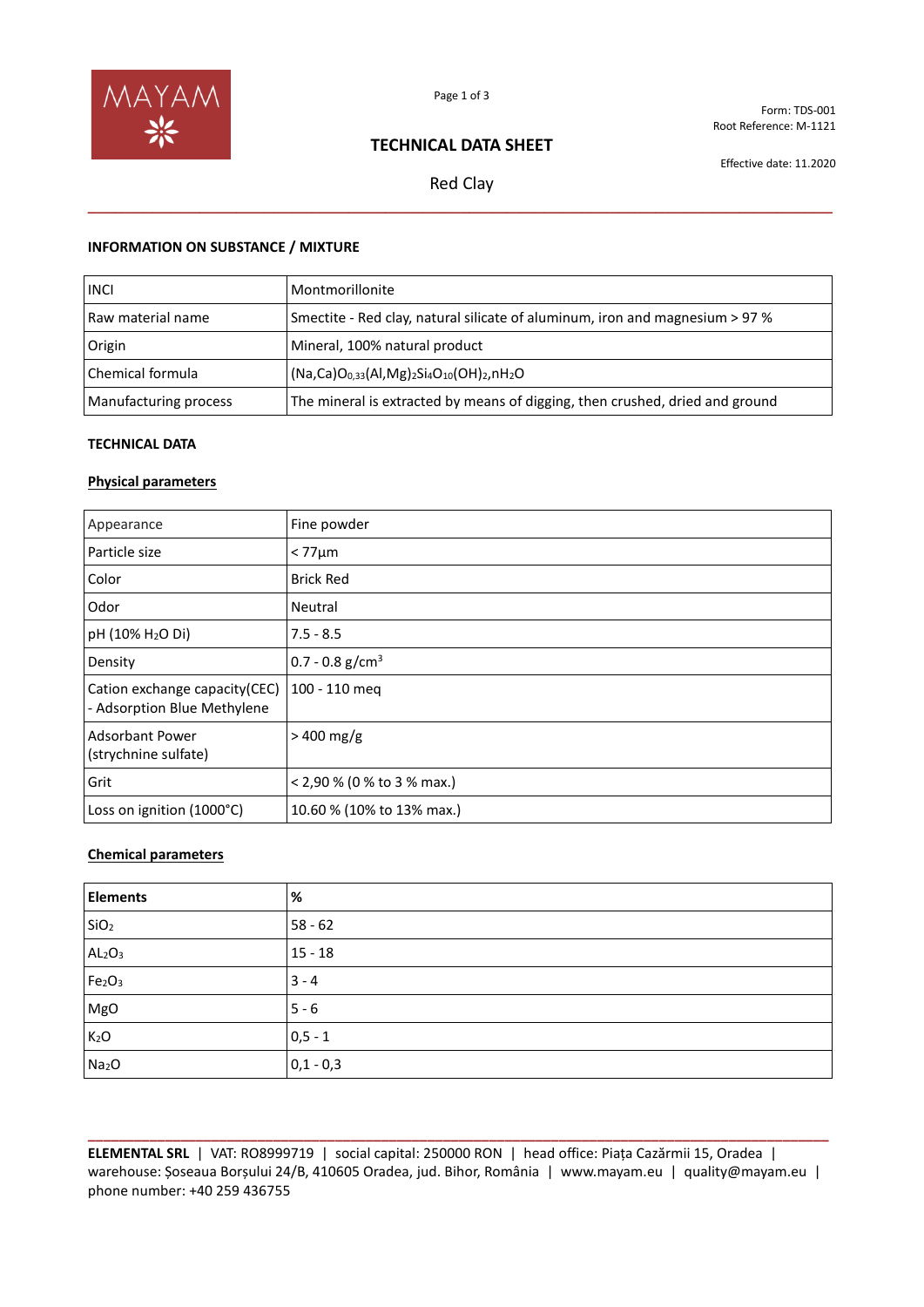

Form: TDS-001 Root Reference: M-1121

# **TECHNICAL DATA SHEET**

Effective date: 11.2020

Red Clay **\_\_\_\_\_\_\_\_\_\_\_\_\_\_\_\_\_\_\_\_\_\_\_\_\_\_\_\_\_\_\_\_\_\_\_\_\_\_\_\_\_\_\_\_\_\_\_\_\_\_\_\_\_\_\_\_\_\_\_\_\_\_\_\_\_\_\_\_\_\_\_\_\_\_\_\_\_\_\_\_**

## **INFORMATION ON SUBSTANCE / MIXTURE**

| <b>INCI</b>           | Montmorillonite                                                              |
|-----------------------|------------------------------------------------------------------------------|
| Raw material name     | Smectite - Red clay, natural silicate of aluminum, iron and magnesium > 97 % |
| Origin                | Mineral, 100% natural product                                                |
| Chemical formula      | $(Na, Ca)O0,33(Al, Mg)2Si4O10(OH)2,nH2O$                                     |
| Manufacturing process | The mineral is extracted by means of digging, then crushed, dried and ground |

### **TECHNICAL DATA**

## **Physical parameters**

| Appearance                                                   | Fine powder                   |
|--------------------------------------------------------------|-------------------------------|
| l Particle size                                              | $< 77 \mu m$                  |
| Color                                                        | <b>Brick Red</b>              |
| Odor                                                         | Neutral                       |
| pH (10% H <sub>2</sub> O Di)                                 | $7.5 - 8.5$                   |
| Density                                                      | $0.7 - 0.8$ g/cm <sup>3</sup> |
| Cation exchange capacity(CEC)<br>- Adsorption Blue Methylene | 100 - 110 meg                 |
| Adsorbant Power<br>(strychnine sulfate)                      | $>400$ mg/g                   |
| Grit                                                         | < 2,90 % (0 % to 3 % max.)    |
| Loss on ignition (1000°C)                                    | 10.60 % (10% to 13% max.)     |

### **Chemical parameters**

| <b>Elements</b>                | %           |
|--------------------------------|-------------|
| SiO <sub>2</sub>               | $58 - 62$   |
| AL <sub>2</sub> O <sub>3</sub> | $15 - 18$   |
| Fe <sub>2</sub> O <sub>3</sub> | $3 - 4$     |
| MgO                            | $5 - 6$     |
| K <sub>2</sub> O               | $0, 5 - 1$  |
| Na <sub>2</sub> O              | $0,1 - 0,3$ |

**\_\_\_\_\_\_\_\_\_\_\_\_\_\_\_\_\_\_\_\_\_\_\_\_\_\_\_\_\_\_\_\_\_\_\_\_\_\_\_\_\_\_\_\_\_\_\_\_\_\_\_\_\_\_\_\_\_\_\_\_\_\_\_\_\_\_\_\_\_\_\_\_\_\_\_\_\_\_\_\_\_\_\_\_\_\_\_\_\_\_\_\_\_\_\_\_ ELEMENTAL SRL** | VAT: RO8999719 | social capital: 250000 RON | head office: Piața Cazărmii 15, Oradea | warehouse: Șoseaua Borșului 24/B, 410605 Oradea, jud. Bihor, România | www.mayam.eu | quality@mayam.eu | phone number: +40 259 436755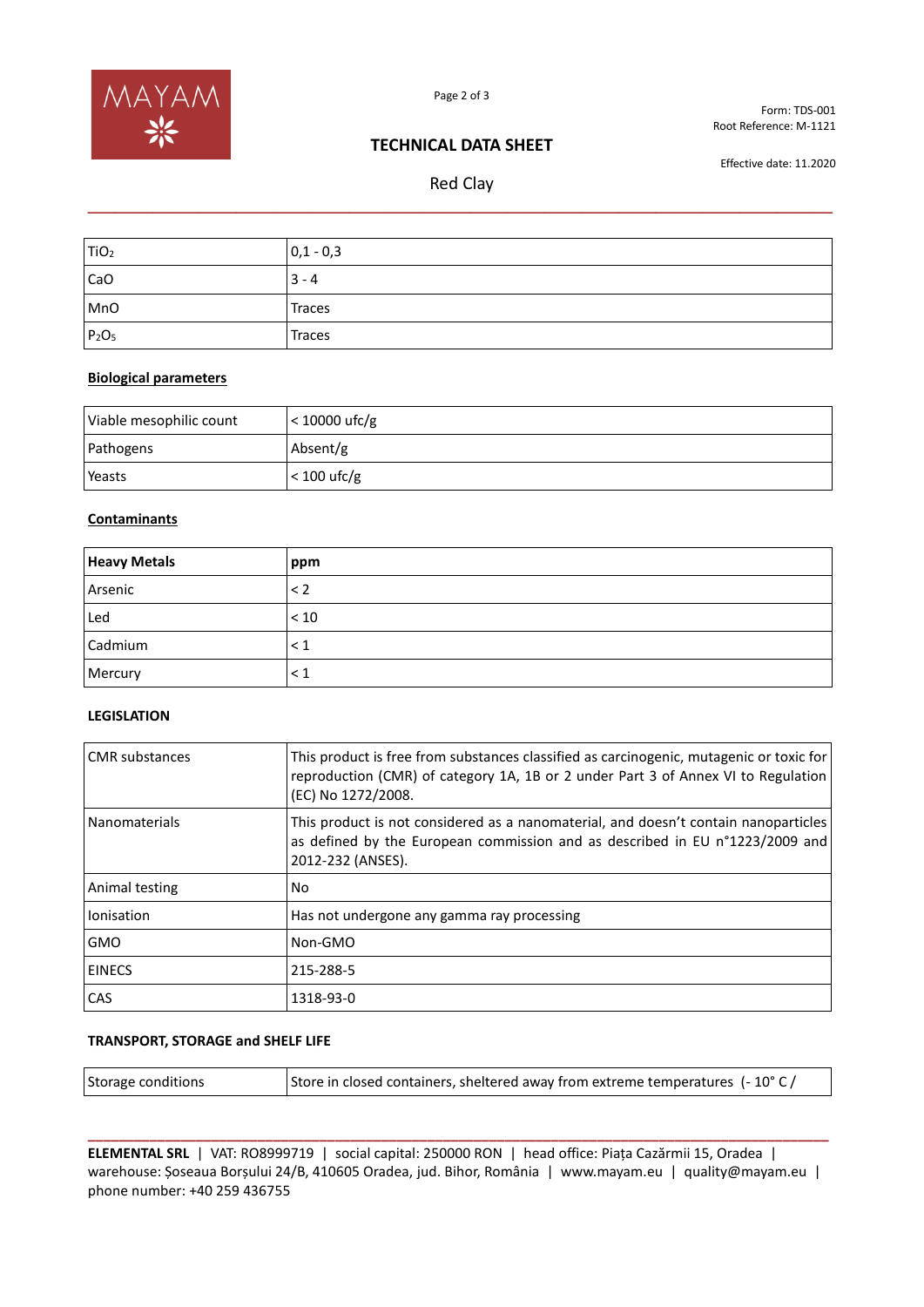

Form: TDS-001 Root Reference: M-1121

# **TECHNICAL DATA SHEET**

Red Clay **\_\_\_\_\_\_\_\_\_\_\_\_\_\_\_\_\_\_\_\_\_\_\_\_\_\_\_\_\_\_\_\_\_\_\_\_\_\_\_\_\_\_\_\_\_\_\_\_\_\_\_\_\_\_\_\_\_\_\_\_\_\_\_\_\_\_\_\_\_\_\_\_\_\_\_\_\_\_\_\_**

Effective date: 11.2020

| TiO <sub>2</sub> | $0,1 - 0,3$ |
|------------------|-------------|
| CaO              | $3 - 4$     |
| MnO              | Traces      |
| $P_2O_5$         | Traces      |

## **Biological parameters**

| Viable mesophilic count | $<$ 10000 ufc/g |
|-------------------------|-----------------|
| Pathogens               | Absent/g        |
| Yeasts                  | $< 100$ ufc/g   |

# **Contaminants**

| <b>Heavy Metals</b> | ppm      |
|---------------------|----------|
| Arsenic             | $\leq$ 2 |
| Led                 | < 10     |
| Cadmium             | $\leq 1$ |
| Mercury             | $\leq 1$ |

### **LEGISLATION**

| <b>CMR</b> substances | This product is free from substances classified as carcinogenic, mutagenic or toxic for<br>reproduction (CMR) of category 1A, 1B or 2 under Part 3 of Annex VI to Regulation<br>(EC) No 1272/2008. |
|-----------------------|----------------------------------------------------------------------------------------------------------------------------------------------------------------------------------------------------|
| Nanomaterials         | This product is not considered as a nanomaterial, and doesn't contain nanoparticles<br>as defined by the European commission and as described in EU n°1223/2009 and<br>2012-232 (ANSES).           |
| Animal testing        | No.                                                                                                                                                                                                |
| Ionisation            | Has not undergone any gamma ray processing                                                                                                                                                         |
| <b>GMO</b>            | Non-GMO                                                                                                                                                                                            |
| <b>EINECS</b>         | 215-288-5                                                                                                                                                                                          |
| <b>CAS</b>            | 1318-93-0                                                                                                                                                                                          |

### **TRANSPORT, STORAGE and SHELF LIFE**

| Storage conditions | Store in closed containers, sheltered away from extreme temperatures (-10° C / |
|--------------------|--------------------------------------------------------------------------------|
|                    |                                                                                |

**\_\_\_\_\_\_\_\_\_\_\_\_\_\_\_\_\_\_\_\_\_\_\_\_\_\_\_\_\_\_\_\_\_\_\_\_\_\_\_\_\_\_\_\_\_\_\_\_\_\_\_\_\_\_\_\_\_\_\_\_\_\_\_\_\_\_\_\_\_\_\_\_\_\_\_\_\_\_\_\_\_\_\_\_\_\_\_\_\_\_\_\_\_\_\_\_ ELEMENTAL SRL** | VAT: RO8999719 | social capital: 250000 RON | head office: Piața Cazărmii 15, Oradea | warehouse: Șoseaua Borșului 24/B, 410605 Oradea, jud. Bihor, România | www.mayam.eu | quality@mayam.eu | phone number: +40 259 436755